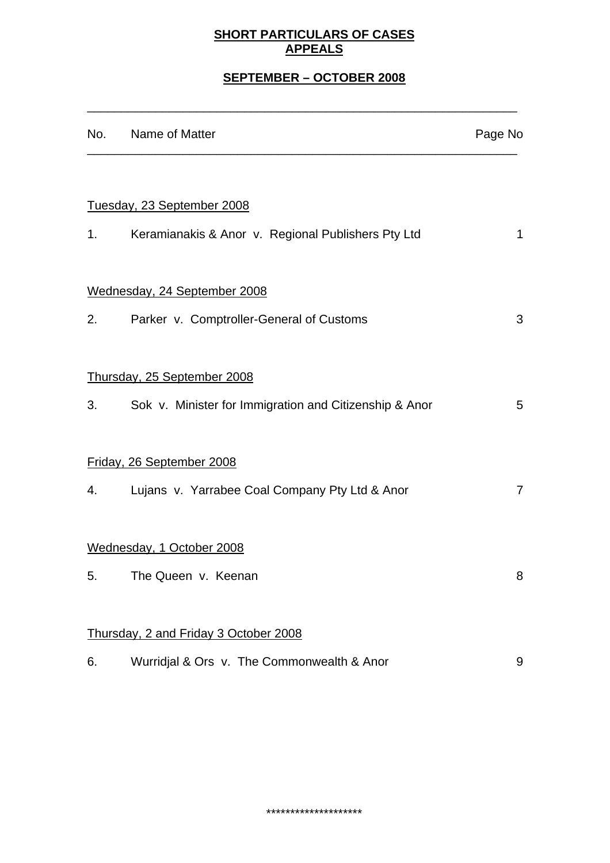### **SHORT PARTICULARS OF CASES APPEALS**

# **SEPTEMBER – OCTOBER 2008**

\_\_\_\_\_\_\_\_\_\_\_\_\_\_\_\_\_\_\_\_\_\_\_\_\_\_\_\_\_\_\_\_\_\_\_\_\_\_\_\_\_\_\_\_\_\_\_\_\_\_\_\_\_\_\_\_\_\_\_\_\_\_\_

|    | No. Name of Matter                                        | Page No        |
|----|-----------------------------------------------------------|----------------|
|    |                                                           |                |
|    | Tuesday, 23 September 2008                                |                |
|    | 1. Keramianakis & Anor v. Regional Publishers Pty Ltd     | 1              |
|    | Wednesday, 24 September 2008                              |                |
|    | 2. Parker v. Comptroller-General of Customs               | 3              |
|    | Thursday, 25 September 2008                               |                |
|    | 3. Sok v. Minister for Immigration and Citizenship & Anor | 5              |
|    | Friday, 26 September 2008                                 |                |
|    | 4. Lujans v. Yarrabee Coal Company Pty Ltd & Anor         | $\overline{7}$ |
|    | Wednesday, 1 October 2008                                 |                |
| 5. | The Queen v. Keenan                                       | 8              |
|    | Thursday, 2 and Friday 3 October 2008                     |                |
| 6. |                                                           | 9              |
|    | Wurridjal & Ors v. The Commonwealth & Anor                |                |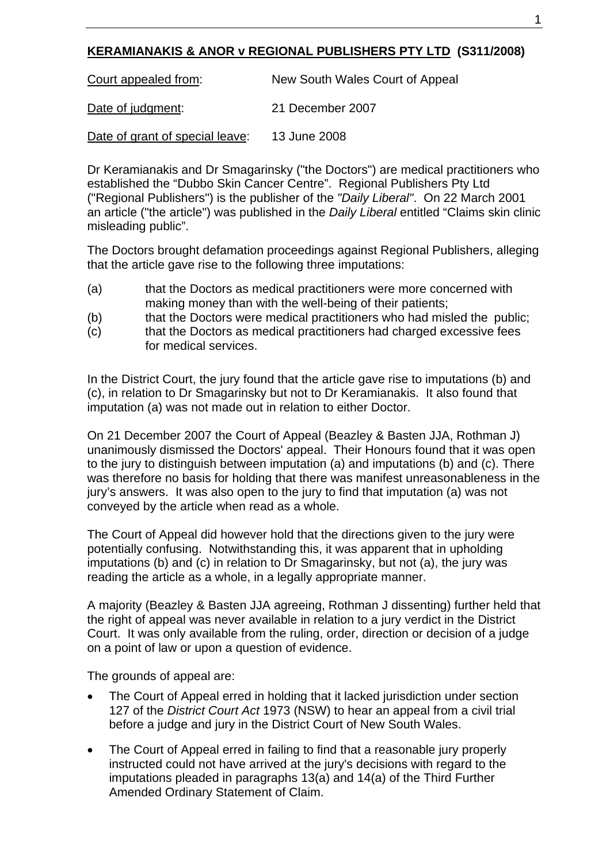# **KERAMIANAKIS & ANOR v REGIONAL PUBLISHERS PTY LTD (S311/2008)**

Court appealed from: New South Wales Court of Appeal

Date of judgment: 21 December 2007

Date of grant of special leave: 13 June 2008

Dr Keramianakis and Dr Smagarinsky ("the Doctors") are medical practitioners who established the "Dubbo Skin Cancer Centre". Regional Publishers Pty Ltd ("Regional Publishers") is the publisher of the *"Daily Liberal"*. On 22 March 2001 an article ("the article") was published in the *Daily Liberal* entitled "Claims skin clinic misleading public".

The Doctors brought defamation proceedings against Regional Publishers, alleging that the article gave rise to the following three imputations:

- (a) that the Doctors as medical practitioners were more concerned with making money than with the well-being of their patients;
- (b) that the Doctors were medical practitioners who had misled the public;
- (c) that the Doctors as medical practitioners had charged excessive fees for medical services.

In the District Court, the jury found that the article gave rise to imputations (b) and (c), in relation to Dr Smagarinsky but not to Dr Keramianakis. It also found that imputation (a) was not made out in relation to either Doctor.

On 21 December 2007 the Court of Appeal (Beazley & Basten JJA, Rothman J) unanimously dismissed the Doctors' appeal. Their Honours found that it was open to the jury to distinguish between imputation (a) and imputations (b) and (c). There was therefore no basis for holding that there was manifest unreasonableness in the jury's answers. It was also open to the jury to find that imputation (a) was not conveyed by the article when read as a whole.

The Court of Appeal did however hold that the directions given to the jury were potentially confusing. Notwithstanding this, it was apparent that in upholding imputations (b) and (c) in relation to Dr Smagarinsky, but not (a), the jury was reading the article as a whole, in a legally appropriate manner.

A majority (Beazley & Basten JJA agreeing, Rothman J dissenting) further held that the right of appeal was never available in relation to a jury verdict in the District Court. It was only available from the ruling, order, direction or decision of a judge on a point of law or upon a question of evidence.

The grounds of appeal are:

- The Court of Appeal erred in holding that it lacked jurisdiction under section 127 of the *District Court Act* 1973 (NSW) to hear an appeal from a civil trial before a judge and jury in the District Court of New South Wales.
- The Court of Appeal erred in failing to find that a reasonable jury properly instructed could not have arrived at the jury's decisions with regard to the imputations pleaded in paragraphs 13(a) and 14(a) of the Third Further Amended Ordinary Statement of Claim.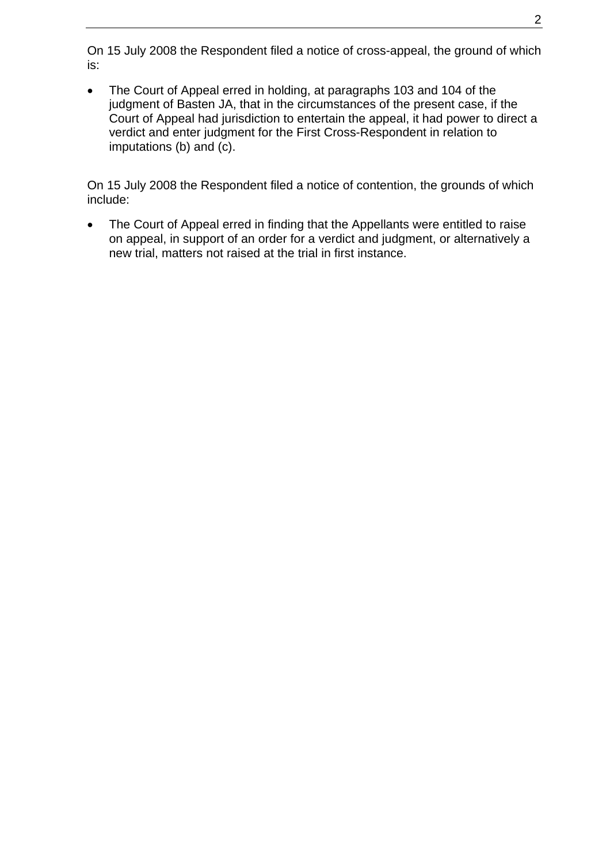On 15 July 2008 the Respondent filed a notice of cross-appeal, the ground of which is:

• The Court of Appeal erred in holding, at paragraphs 103 and 104 of the judgment of Basten JA, that in the circumstances of the present case, if the Court of Appeal had jurisdiction to entertain the appeal, it had power to direct a verdict and enter judgment for the First Cross-Respondent in relation to imputations (b) and (c).

On 15 July 2008 the Respondent filed a notice of contention, the grounds of which include:

The Court of Appeal erred in finding that the Appellants were entitled to raise on appeal, in support of an order for a verdict and judgment, or alternatively a new trial, matters not raised at the trial in first instance.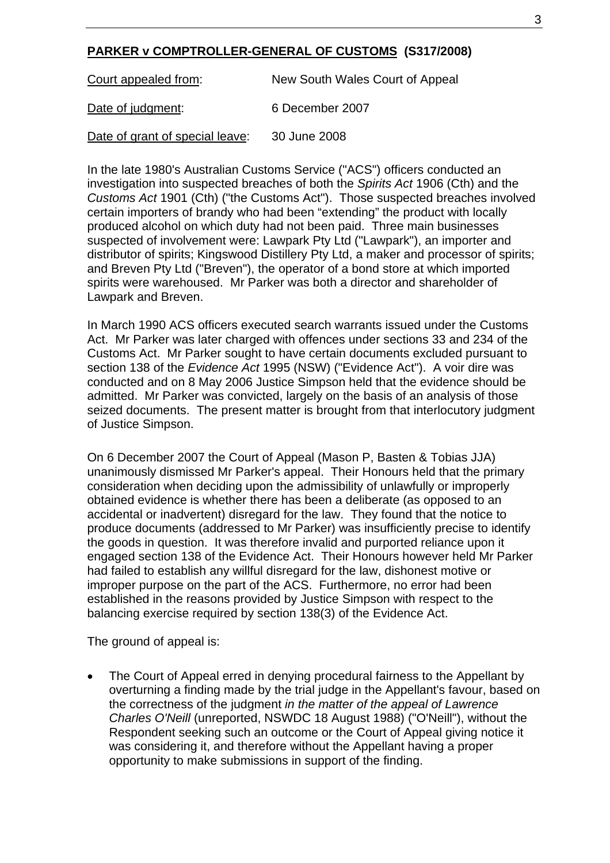### **PARKER v COMPTROLLER-GENERAL OF CUSTOMS (S317/2008)**

| Court appealed from:            | New South Wales Court of Appeal |
|---------------------------------|---------------------------------|
| Date of judgment:               | 6 December 2007                 |
| Date of grant of special leave: | 30 June 2008                    |

In the late 1980's Australian Customs Service ("ACS") officers conducted an investigation into suspected breaches of both the *Spirits Act* 1906 (Cth) and the *Customs Act* 1901 (Cth) ("the Customs Act"). Those suspected breaches involved certain importers of brandy who had been "extending" the product with locally produced alcohol on which duty had not been paid. Three main businesses suspected of involvement were: Lawpark Pty Ltd ("Lawpark"), an importer and distributor of spirits; Kingswood Distillery Pty Ltd, a maker and processor of spirits; and Breven Pty Ltd ("Breven"), the operator of a bond store at which imported spirits were warehoused. Mr Parker was both a director and shareholder of Lawpark and Breven.

In March 1990 ACS officers executed search warrants issued under the Customs Act. Mr Parker was later charged with offences under sections 33 and 234 of the Customs Act. Mr Parker sought to have certain documents excluded pursuant to section 138 of the *Evidence Act* 1995 (NSW) ("Evidence Act"). A voir dire was conducted and on 8 May 2006 Justice Simpson held that the evidence should be admitted. Mr Parker was convicted, largely on the basis of an analysis of those seized documents. The present matter is brought from that interlocutory judgment of Justice Simpson.

On 6 December 2007 the Court of Appeal (Mason P, Basten & Tobias JJA) unanimously dismissed Mr Parker's appeal. Their Honours held that the primary consideration when deciding upon the admissibility of unlawfully or improperly obtained evidence is whether there has been a deliberate (as opposed to an accidental or inadvertent) disregard for the law. They found that the notice to produce documents (addressed to Mr Parker) was insufficiently precise to identify the goods in question. It was therefore invalid and purported reliance upon it engaged section 138 of the Evidence Act. Their Honours however held Mr Parker had failed to establish any willful disregard for the law, dishonest motive or improper purpose on the part of the ACS. Furthermore, no error had been established in the reasons provided by Justice Simpson with respect to the balancing exercise required by section 138(3) of the Evidence Act.

The ground of appeal is:

• The Court of Appeal erred in denying procedural fairness to the Appellant by overturning a finding made by the trial judge in the Appellant's favour, based on the correctness of the judgment *in the matter of the appeal of Lawrence Charles O'Neill* (unreported, NSWDC 18 August 1988) ("O'Neill"), without the Respondent seeking such an outcome or the Court of Appeal giving notice it was considering it, and therefore without the Appellant having a proper opportunity to make submissions in support of the finding.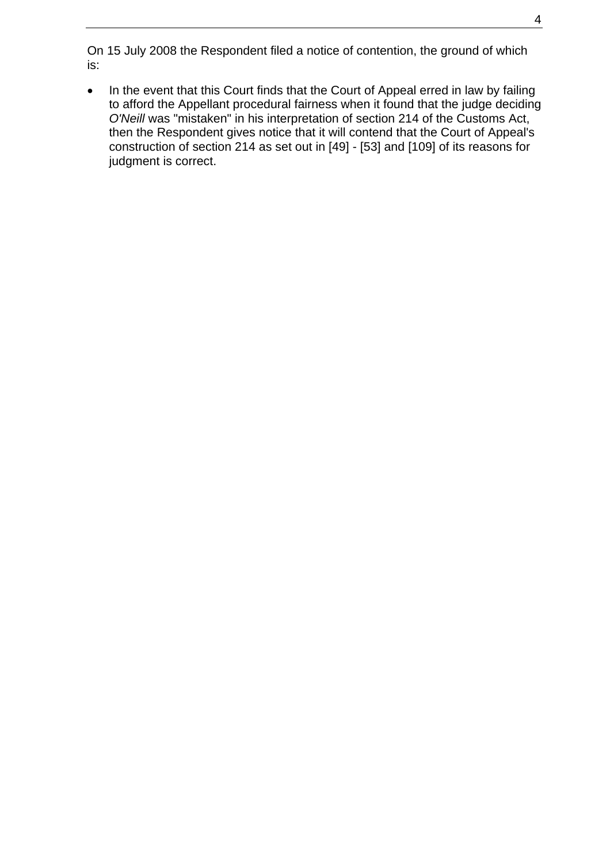On 15 July 2008 the Respondent filed a notice of contention, the ground of which is:

• In the event that this Court finds that the Court of Appeal erred in law by failing to afford the Appellant procedural fairness when it found that the judge deciding *O'Neill* was "mistaken" in his interpretation of section 214 of the Customs Act, then the Respondent gives notice that it will contend that the Court of Appeal's construction of section 214 as set out in [49] - [53] and [109] of its reasons for judgment is correct.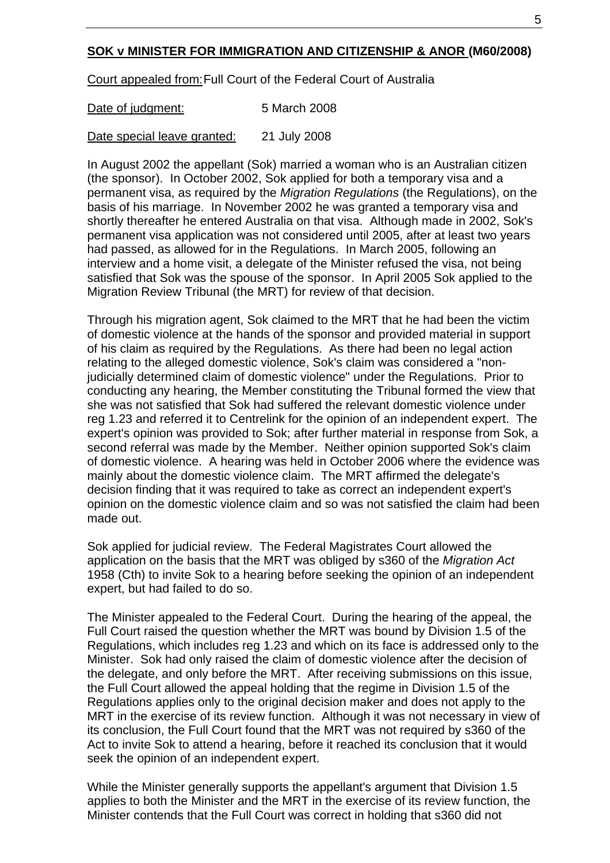### **SOK v MINISTER FOR IMMIGRATION AND CITIZENSHIP & ANOR (M60/2008)**

Court appealed from: Full Court of the Federal Court of Australia

Date of judgment: 5 March 2008

Date special leave granted: 21 July 2008

In August 2002 the appellant (Sok) married a woman who is an Australian citizen (the sponsor). In October 2002, Sok applied for both a temporary visa and a permanent visa, as required by the *Migration Regulations* (the Regulations), on the basis of his marriage. In November 2002 he was granted a temporary visa and shortly thereafter he entered Australia on that visa. Although made in 2002, Sok's permanent visa application was not considered until 2005, after at least two years had passed, as allowed for in the Regulations. In March 2005, following an interview and a home visit, a delegate of the Minister refused the visa, not being satisfied that Sok was the spouse of the sponsor. In April 2005 Sok applied to the Migration Review Tribunal (the MRT) for review of that decision.

Through his migration agent, Sok claimed to the MRT that he had been the victim of domestic violence at the hands of the sponsor and provided material in support of his claim as required by the Regulations. As there had been no legal action relating to the alleged domestic violence, Sok's claim was considered a "nonjudicially determined claim of domestic violence" under the Regulations. Prior to conducting any hearing, the Member constituting the Tribunal formed the view that she was not satisfied that Sok had suffered the relevant domestic violence under reg 1.23 and referred it to Centrelink for the opinion of an independent expert. The expert's opinion was provided to Sok; after further material in response from Sok, a second referral was made by the Member. Neither opinion supported Sok's claim of domestic violence. A hearing was held in October 2006 where the evidence was mainly about the domestic violence claim. The MRT affirmed the delegate's decision finding that it was required to take as correct an independent expert's opinion on the domestic violence claim and so was not satisfied the claim had been made out.

Sok applied for judicial review. The Federal Magistrates Court allowed the application on the basis that the MRT was obliged by s360 of the *Migration Act* 1958 (Cth) to invite Sok to a hearing before seeking the opinion of an independent expert, but had failed to do so.

The Minister appealed to the Federal Court. During the hearing of the appeal, the Full Court raised the question whether the MRT was bound by Division 1.5 of the Regulations, which includes reg 1.23 and which on its face is addressed only to the Minister. Sok had only raised the claim of domestic violence after the decision of the delegate, and only before the MRT. After receiving submissions on this issue, the Full Court allowed the appeal holding that the regime in Division 1.5 of the Regulations applies only to the original decision maker and does not apply to the MRT in the exercise of its review function. Although it was not necessary in view of its conclusion, the Full Court found that the MRT was not required by s360 of the Act to invite Sok to attend a hearing, before it reached its conclusion that it would seek the opinion of an independent expert.

While the Minister generally supports the appellant's argument that Division 1.5 applies to both the Minister and the MRT in the exercise of its review function, the Minister contends that the Full Court was correct in holding that s360 did not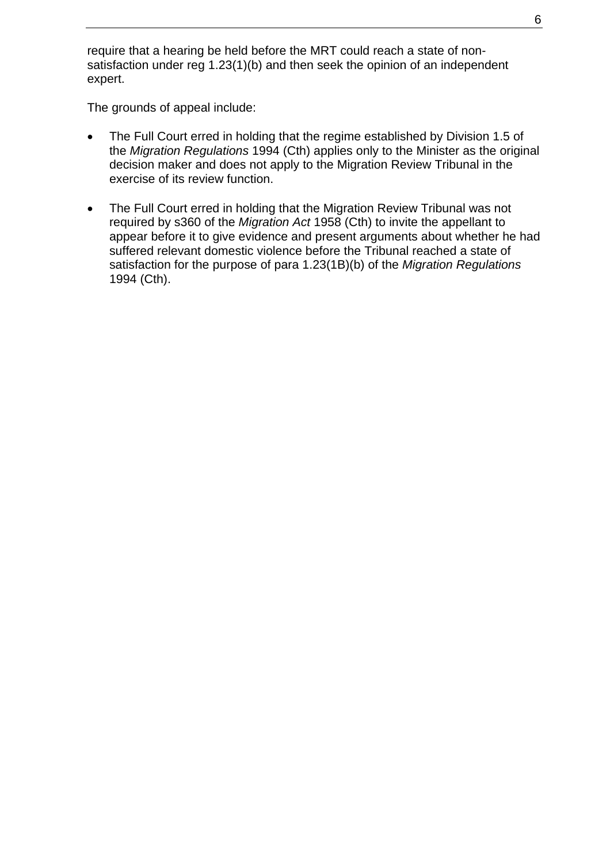require that a hearing be held before the MRT could reach a state of nonsatisfaction under reg 1.23(1)(b) and then seek the opinion of an independent expert.

The grounds of appeal include:

- The Full Court erred in holding that the regime established by Division 1.5 of the *Migration Regulations* 1994 (Cth) applies only to the Minister as the original decision maker and does not apply to the Migration Review Tribunal in the exercise of its review function.
- The Full Court erred in holding that the Migration Review Tribunal was not required by s360 of the *Migration Act* 1958 (Cth) to invite the appellant to appear before it to give evidence and present arguments about whether he had suffered relevant domestic violence before the Tribunal reached a state of satisfaction for the purpose of para 1.23(1B)(b) of the *Migration Regulations* 1994 (Cth).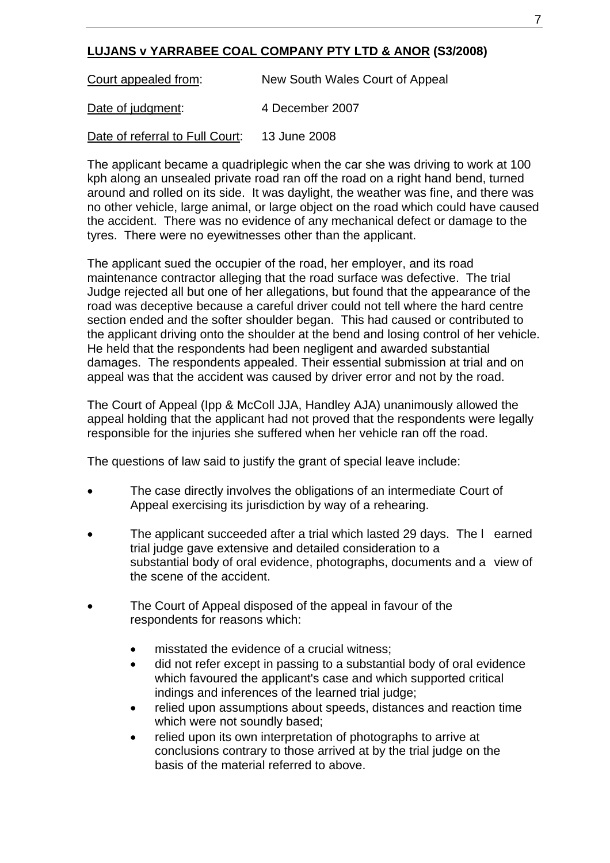## **LUJANS v YARRABEE COAL COMPANY PTY LTD & ANOR (S3/2008)**

Court appealed from: New South Wales Court of Appeal Date of judgment: 4 December 2007

Date of referral to Full Court: 13 June 2008

The applicant became a quadriplegic when the car she was driving to work at 100 kph along an unsealed private road ran off the road on a right hand bend, turned around and rolled on its side. It was daylight, the weather was fine, and there was no other vehicle, large animal, or large object on the road which could have caused the accident. There was no evidence of any mechanical defect or damage to the tyres. There were no eyewitnesses other than the applicant.

The applicant sued the occupier of the road, her employer, and its road maintenance contractor alleging that the road surface was defective. The trial Judge rejected all but one of her allegations, but found that the appearance of the road was deceptive because a careful driver could not tell where the hard centre section ended and the softer shoulder began. This had caused or contributed to the applicant driving onto the shoulder at the bend and losing control of her vehicle. He held that the respondents had been negligent and awarded substantial damages. The respondents appealed. Their essential submission at trial and on appeal was that the accident was caused by driver error and not by the road.

The Court of Appeal (Ipp & McColl JJA, Handley AJA) unanimously allowed the appeal holding that the applicant had not proved that the respondents were legally responsible for the injuries she suffered when her vehicle ran off the road.

The questions of law said to justify the grant of special leave include:

- The case directly involves the obligations of an intermediate Court of Appeal exercising its jurisdiction by way of a rehearing.
- The applicant succeeded after a trial which lasted 29 days. The l earned trial judge gave extensive and detailed consideration to a substantial body of oral evidence, photographs, documents and a view of the scene of the accident.
- The Court of Appeal disposed of the appeal in favour of the respondents for reasons which:
	- misstated the evidence of a crucial witness:
	- did not refer except in passing to a substantial body of oral evidence which favoured the applicant's case and which supported critical indings and inferences of the learned trial judge;
	- relied upon assumptions about speeds, distances and reaction time which were not soundly based;
	- relied upon its own interpretation of photographs to arrive at conclusions contrary to those arrived at by the trial judge on the basis of the material referred to above.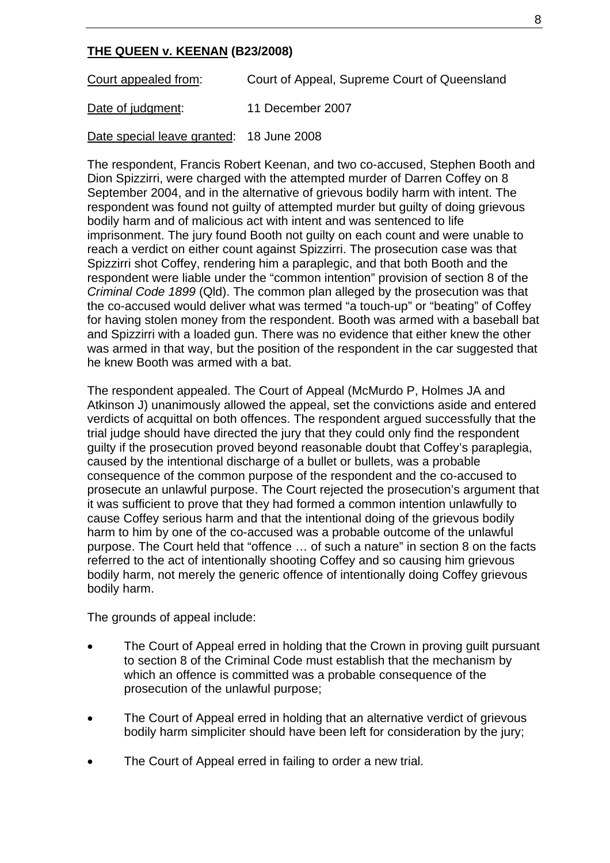### **THE QUEEN v. KEENAN (B23/2008)**

Court appealed from: Court of Appeal, Supreme Court of Queensland

Date of judgment: 11 December 2007

Date special leave granted: 18 June 2008

The respondent, Francis Robert Keenan, and two co-accused, Stephen Booth and Dion Spizzirri, were charged with the attempted murder of Darren Coffey on 8 September 2004, and in the alternative of grievous bodily harm with intent. The respondent was found not guilty of attempted murder but guilty of doing grievous bodily harm and of malicious act with intent and was sentenced to life imprisonment. The jury found Booth not guilty on each count and were unable to reach a verdict on either count against Spizzirri. The prosecution case was that Spizzirri shot Coffey, rendering him a paraplegic, and that both Booth and the respondent were liable under the "common intention" provision of section 8 of the *Criminal Code 1899* (Qld). The common plan alleged by the prosecution was that the co-accused would deliver what was termed "a touch-up" or "beating" of Coffey for having stolen money from the respondent. Booth was armed with a baseball bat and Spizzirri with a loaded gun. There was no evidence that either knew the other was armed in that way, but the position of the respondent in the car suggested that he knew Booth was armed with a bat.

The respondent appealed. The Court of Appeal (McMurdo P, Holmes JA and Atkinson J) unanimously allowed the appeal, set the convictions aside and entered verdicts of acquittal on both offences. The respondent argued successfully that the trial judge should have directed the jury that they could only find the respondent guilty if the prosecution proved beyond reasonable doubt that Coffey's paraplegia, caused by the intentional discharge of a bullet or bullets, was a probable consequence of the common purpose of the respondent and the co-accused to prosecute an unlawful purpose. The Court rejected the prosecution's argument that it was sufficient to prove that they had formed a common intention unlawfully to cause Coffey serious harm and that the intentional doing of the grievous bodily harm to him by one of the co-accused was a probable outcome of the unlawful purpose. The Court held that "offence … of such a nature" in section 8 on the facts referred to the act of intentionally shooting Coffey and so causing him grievous bodily harm, not merely the generic offence of intentionally doing Coffey grievous bodily harm.

The grounds of appeal include:

- The Court of Appeal erred in holding that the Crown in proving guilt pursuant to section 8 of the Criminal Code must establish that the mechanism by which an offence is committed was a probable consequence of the prosecution of the unlawful purpose;
- The Court of Appeal erred in holding that an alternative verdict of grievous bodily harm simpliciter should have been left for consideration by the jury;
- The Court of Appeal erred in failing to order a new trial.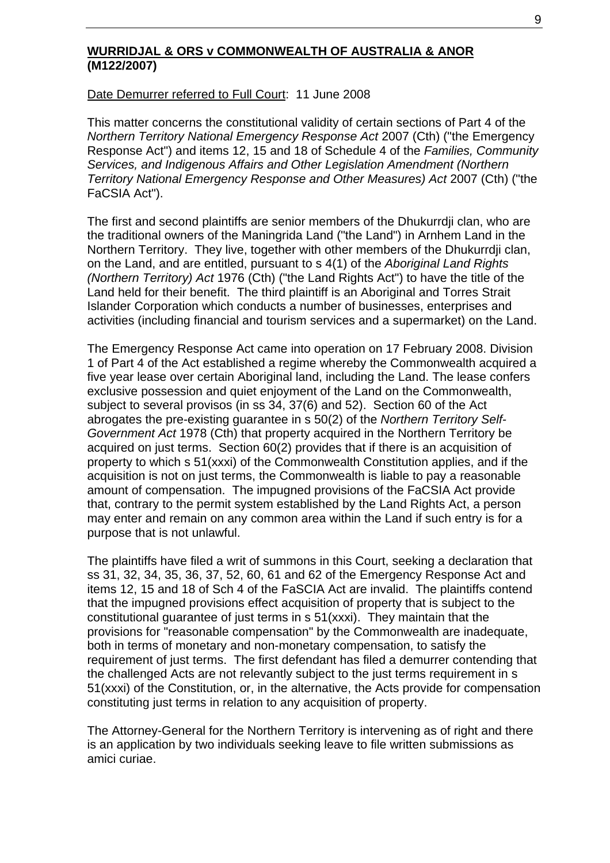#### **WURRIDJAL & ORS v COMMONWEALTH OF AUSTRALIA & ANOR (M122/2007)**

#### Date Demurrer referred to Full Court: 11 June 2008

This matter concerns the constitutional validity of certain sections of Part 4 of the *Northern Territory National Emergency Response Act* 2007 (Cth) ("the Emergency Response Act") and items 12, 15 and 18 of Schedule 4 of the *Families, Community Services, and Indigenous Affairs and Other Legislation Amendment (Northern Territory National Emergency Response and Other Measures) Act* 2007 (Cth) ("the FaCSIA Act").

The first and second plaintiffs are senior members of the Dhukurrdji clan, who are the traditional owners of the Maningrida Land ("the Land") in Arnhem Land in the Northern Territory. They live, together with other members of the Dhukurrdji clan, on the Land, and are entitled, pursuant to s 4(1) of the *Aboriginal Land Rights (Northern Territory) Act* 1976 (Cth) ("the Land Rights Act") to have the title of the Land held for their benefit. The third plaintiff is an Aboriginal and Torres Strait Islander Corporation which conducts a number of businesses, enterprises and activities (including financial and tourism services and a supermarket) on the Land.

The Emergency Response Act came into operation on 17 February 2008. Division 1 of Part 4 of the Act established a regime whereby the Commonwealth acquired a five year lease over certain Aboriginal land, including the Land. The lease confers exclusive possession and quiet enjoyment of the Land on the Commonwealth, subject to several provisos (in ss 34, 37(6) and 52). Section 60 of the Act abrogates the pre-existing guarantee in s 50(2) of the *Northern Territory Self-Government Act* 1978 (Cth) that property acquired in the Northern Territory be acquired on just terms. Section 60(2) provides that if there is an acquisition of property to which s 51(xxxi) of the Commonwealth Constitution applies, and if the acquisition is not on just terms, the Commonwealth is liable to pay a reasonable amount of compensation. The impugned provisions of the FaCSIA Act provide that, contrary to the permit system established by the Land Rights Act, a person may enter and remain on any common area within the Land if such entry is for a purpose that is not unlawful.

The plaintiffs have filed a writ of summons in this Court, seeking a declaration that ss 31, 32, 34, 35, 36, 37, 52, 60, 61 and 62 of the Emergency Response Act and items 12, 15 and 18 of Sch 4 of the FaSCIA Act are invalid. The plaintiffs contend that the impugned provisions effect acquisition of property that is subject to the constitutional guarantee of just terms in s 51(xxxi). They maintain that the provisions for "reasonable compensation" by the Commonwealth are inadequate, both in terms of monetary and non-monetary compensation, to satisfy the requirement of just terms. The first defendant has filed a demurrer contending that the challenged Acts are not relevantly subject to the just terms requirement in s 51(xxxi) of the Constitution, or, in the alternative, the Acts provide for compensation constituting just terms in relation to any acquisition of property.

The Attorney-General for the Northern Territory is intervening as of right and there is an application by two individuals seeking leave to file written submissions as amici curiae.